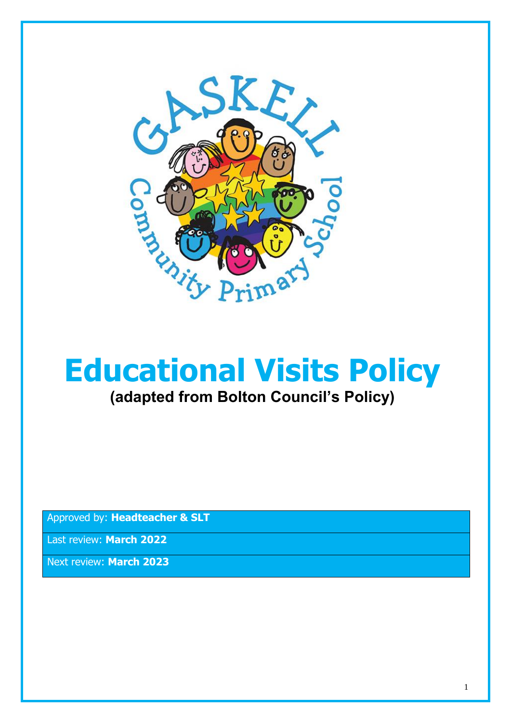

# **Educational Visits Policy (adapted from Bolton Council's Policy)**

Approved by: **Headteacher & SLT**

Last review: **March 2022**

Next review: **March 2023**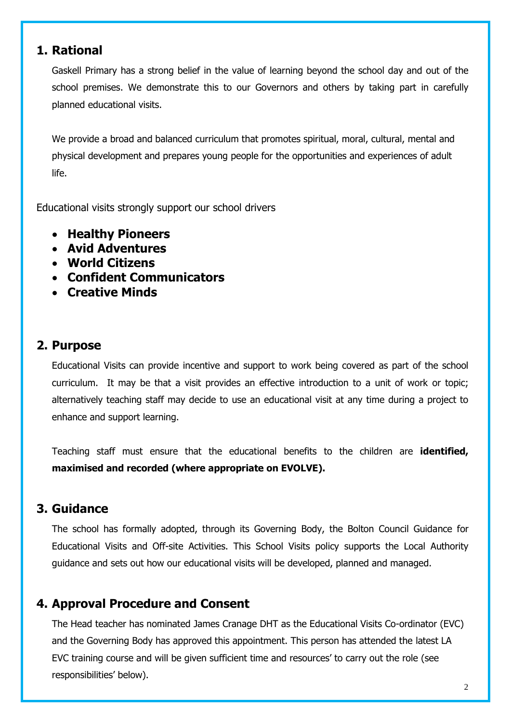## **1. Rational**

Gaskell Primary has a strong belief in the value of learning beyond the school day and out of the school premises. We demonstrate this to our Governors and others by taking part in carefully planned educational visits.

We provide a broad and balanced curriculum that promotes spiritual, moral, cultural, mental and physical development and prepares young people for the opportunities and experiences of adult life.

Educational visits strongly support our school drivers

- **Healthy Pioneers**
- **Avid Adventures**
- **World Citizens**
- **Confident Communicators**
- **Creative Minds**

## **2. Purpose**

Educational Visits can provide incentive and support to work being covered as part of the school curriculum. It may be that a visit provides an effective introduction to a unit of work or topic; alternatively teaching staff may decide to use an educational visit at any time during a project to enhance and support learning.

Teaching staff must ensure that the educational benefits to the children are **identified, maximised and recorded (where appropriate on EVOLVE).**

#### **3. Guidance**

The school has formally adopted, through its Governing Body, the Bolton Council Guidance for Educational Visits and Off-site Activities. This School Visits policy supports the Local Authority guidance and sets out how our educational visits will be developed, planned and managed.

## **4. Approval Procedure and Consent**

The Head teacher has nominated James Cranage DHT as the Educational Visits Co-ordinator (EVC) and the Governing Body has approved this appointment. This person has attended the latest LA EVC training course and will be given sufficient time and resources' to carry out the role (see responsibilities' below).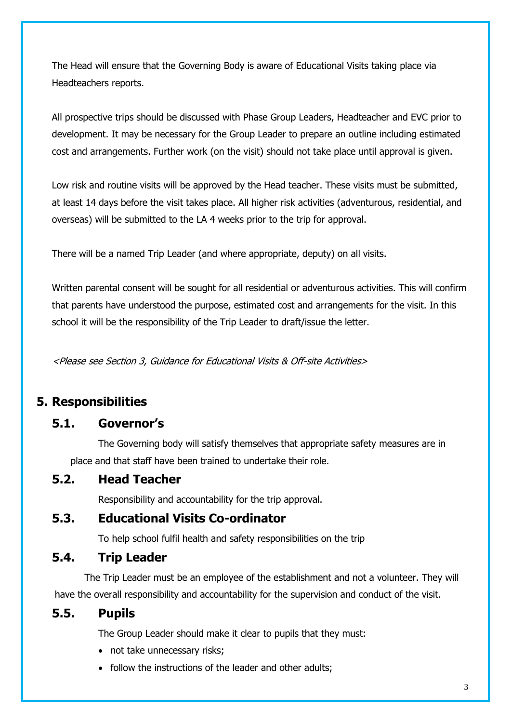The Head will ensure that the Governing Body is aware of Educational Visits taking place via Headteachers reports.

All prospective trips should be discussed with Phase Group Leaders, Headteacher and EVC prior to development. It may be necessary for the Group Leader to prepare an outline including estimated cost and arrangements. Further work (on the visit) should not take place until approval is given.

Low risk and routine visits will be approved by the Head teacher. These visits must be submitted, at least 14 days before the visit takes place. All higher risk activities (adventurous, residential, and overseas) will be submitted to the LA 4 weeks prior to the trip for approval.

There will be a named Trip Leader (and where appropriate, deputy) on all visits.

Written parental consent will be sought for all residential or adventurous activities. This will confirm that parents have understood the purpose, estimated cost and arrangements for the visit. In this school it will be the responsibility of the Trip Leader to draft/issue the letter.

<Please see Section 3, Guidance for Educational Visits & Off-site Activities>

# **5. Responsibilities**

## **5.1. Governor's**

The Governing body will satisfy themselves that appropriate safety measures are in place and that staff have been trained to undertake their role.

#### **5.2. Head Teacher**

Responsibility and accountability for the trip approval.

#### **5.3. Educational Visits Co-ordinator**

To help school fulfil health and safety responsibilities on the trip

#### **5.4. Trip Leader**

 The Trip Leader must be an employee of the establishment and not a volunteer. They will have the overall responsibility and accountability for the supervision and conduct of the visit.

#### **5.5. Pupils**

The Group Leader should make it clear to pupils that they must:

- not take unnecessary risks;
- follow the instructions of the leader and other adults;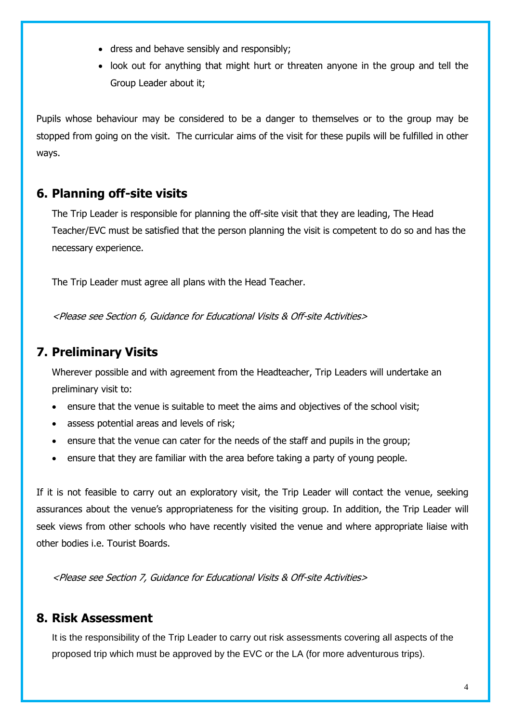- dress and behave sensibly and responsibly;
- look out for anything that might hurt or threaten anyone in the group and tell the Group Leader about it;

Pupils whose behaviour may be considered to be a danger to themselves or to the group may be stopped from going on the visit. The curricular aims of the visit for these pupils will be fulfilled in other ways.

## **6. Planning off-site visits**

The Trip Leader is responsible for planning the off-site visit that they are leading, The Head Teacher/EVC must be satisfied that the person planning the visit is competent to do so and has the necessary experience.

The Trip Leader must agree all plans with the Head Teacher.

<Please see Section 6, Guidance for Educational Visits & Off-site Activities>

# **7. Preliminary Visits**

Wherever possible and with agreement from the Headteacher, Trip Leaders will undertake an preliminary visit to:

- ensure that the venue is suitable to meet the aims and objectives of the school visit;
- assess potential areas and levels of risk;
- ensure that the venue can cater for the needs of the staff and pupils in the group;
- ensure that they are familiar with the area before taking a party of young people.

If it is not feasible to carry out an exploratory visit, the Trip Leader will contact the venue, seeking assurances about the venue's appropriateness for the visiting group. In addition, the Trip Leader will seek views from other schools who have recently visited the venue and where appropriate liaise with other bodies i.e. Tourist Boards.

<Please see Section 7, Guidance for Educational Visits & Off-site Activities>

#### **8. Risk Assessment**

It is the responsibility of the Trip Leader to carry out risk assessments covering all aspects of the proposed trip which must be approved by the EVC or the LA (for more adventurous trips).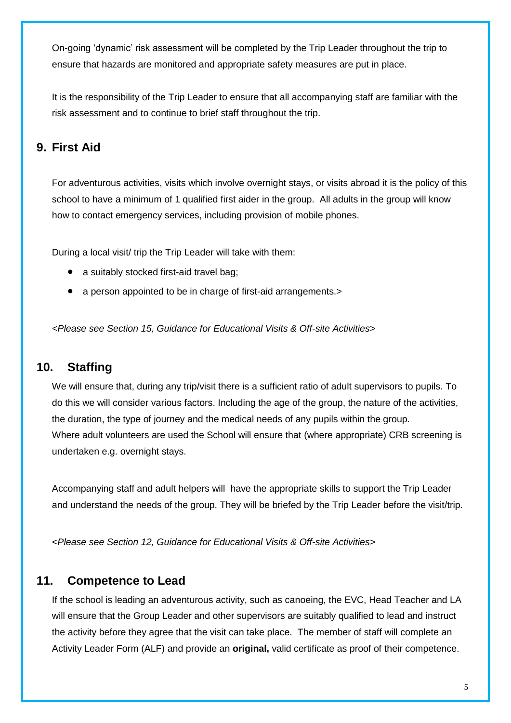On-going 'dynamic' risk assessment will be completed by the Trip Leader throughout the trip to ensure that hazards are monitored and appropriate safety measures are put in place.

It is the responsibility of the Trip Leader to ensure that all accompanying staff are familiar with the risk assessment and to continue to brief staff throughout the trip.

# **9. First Aid**

For adventurous activities, visits which involve overnight stays, or visits abroad it is the policy of this school to have a minimum of 1 qualified first aider in the group. All adults in the group will know how to contact emergency services, including provision of mobile phones.

During a local visit/ trip the Trip Leader will take with them:

- a suitably stocked first-aid travel bag;
- a person appointed to be in charge of first-aid arrangements.>

*<Please see Section 15, Guidance for Educational Visits & Off-site Activities>*

#### **10. Staffing**

We will ensure that, during any trip/visit there is a sufficient ratio of adult supervisors to pupils. To do this we will consider various factors. Including the age of the group, the nature of the activities, the duration, the type of journey and the medical needs of any pupils within the group. Where adult volunteers are used the School will ensure that (where appropriate) CRB screening is undertaken e.g. overnight stays.

Accompanying staff and adult helpers will have the appropriate skills to support the Trip Leader and understand the needs of the group. They will be briefed by the Trip Leader before the visit/trip.

*<Please see Section 12, Guidance for Educational Visits & Off-site Activities>*

#### **11. Competence to Lead**

If the school is leading an adventurous activity, such as canoeing, the EVC, Head Teacher and LA will ensure that the Group Leader and other supervisors are suitably qualified to lead and instruct the activity before they agree that the visit can take place. The member of staff will complete an Activity Leader Form (ALF) and provide an **original,** valid certificate as proof of their competence.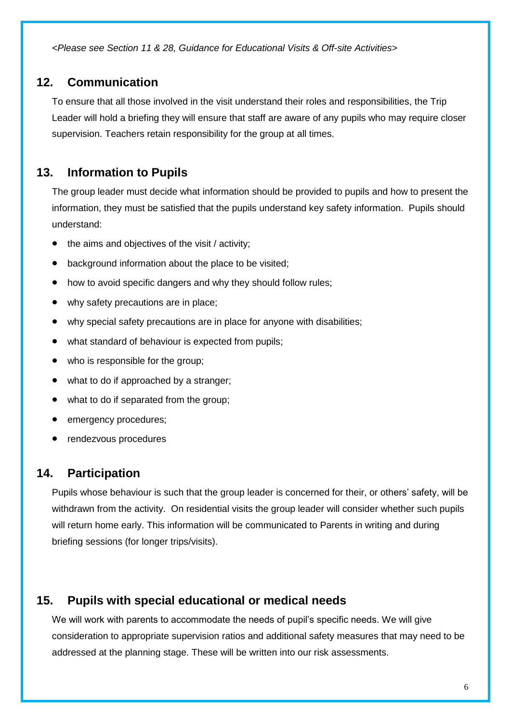*<Please see Section 11 & 28, Guidance for Educational Visits & Off-site Activities>*

#### **12. Communication**

To ensure that all those involved in the visit understand their roles and responsibilities, the Trip Leader will hold a briefing they will ensure that staff are aware of any pupils who may require closer supervision. Teachers retain responsibility for the group at all times.

## **13. Information to Pupils**

The group leader must decide what information should be provided to pupils and how to present the information, they must be satisfied that the pupils understand key safety information. Pupils should understand:

- the aims and objectives of the visit / activity;
- background information about the place to be visited;
- how to avoid specific dangers and why they should follow rules;
- why safety precautions are in place;
- why special safety precautions are in place for anyone with disabilities;
- what standard of behaviour is expected from pupils;
- who is responsible for the group;
- what to do if approached by a stranger;
- what to do if separated from the group;
- emergency procedures;
- rendezvous procedures

#### **14. Participation**

Pupils whose behaviour is such that the group leader is concerned for their, or others' safety, will be withdrawn from the activity. On residential visits the group leader will consider whether such pupils will return home early. This information will be communicated to Parents in writing and during briefing sessions (for longer trips/visits).

#### **15. Pupils with special educational or medical needs**

We will work with parents to accommodate the needs of pupil's specific needs. We will give consideration to appropriate supervision ratios and additional safety measures that may need to be addressed at the planning stage. These will be written into our risk assessments.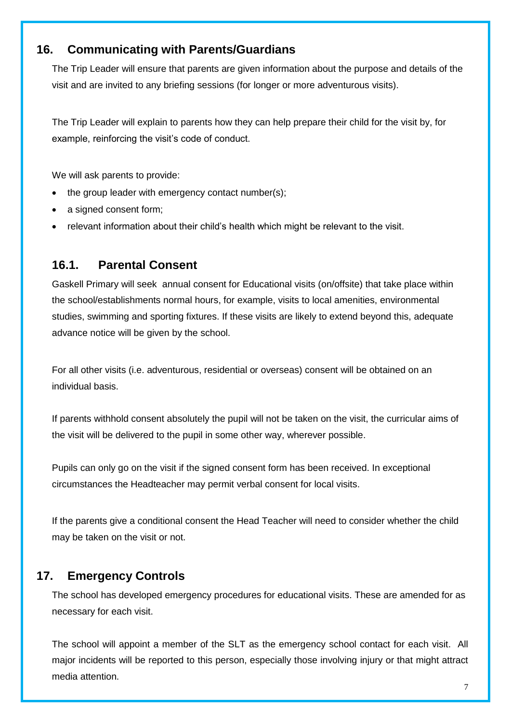#### **16. Communicating with Parents/Guardians**

The Trip Leader will ensure that parents are given information about the purpose and details of the visit and are invited to any briefing sessions (for longer or more adventurous visits).

The Trip Leader will explain to parents how they can help prepare their child for the visit by, for example, reinforcing the visit's code of conduct.

We will ask parents to provide:

- the group leader with emergency contact number(s);
- a signed consent form;
- relevant information about their child's health which might be relevant to the visit.

#### **16.1. Parental Consent**

Gaskell Primary will seek annual consent for Educational visits (on/offsite) that take place within the school/establishments normal hours, for example, visits to local amenities, environmental studies, swimming and sporting fixtures. If these visits are likely to extend beyond this, adequate advance notice will be given by the school.

For all other visits (i.e. adventurous, residential or overseas) consent will be obtained on an individual basis.

If parents withhold consent absolutely the pupil will not be taken on the visit, the curricular aims of the visit will be delivered to the pupil in some other way, wherever possible.

Pupils can only go on the visit if the signed consent form has been received. In exceptional circumstances the Headteacher may permit verbal consent for local visits.

If the parents give a conditional consent the Head Teacher will need to consider whether the child may be taken on the visit or not.

## **17. Emergency Controls**

The school has developed emergency procedures for educational visits. These are amended for as necessary for each visit.

The school will appoint a member of the SLT as the emergency school contact for each visit. All major incidents will be reported to this person, especially those involving injury or that might attract media attention.